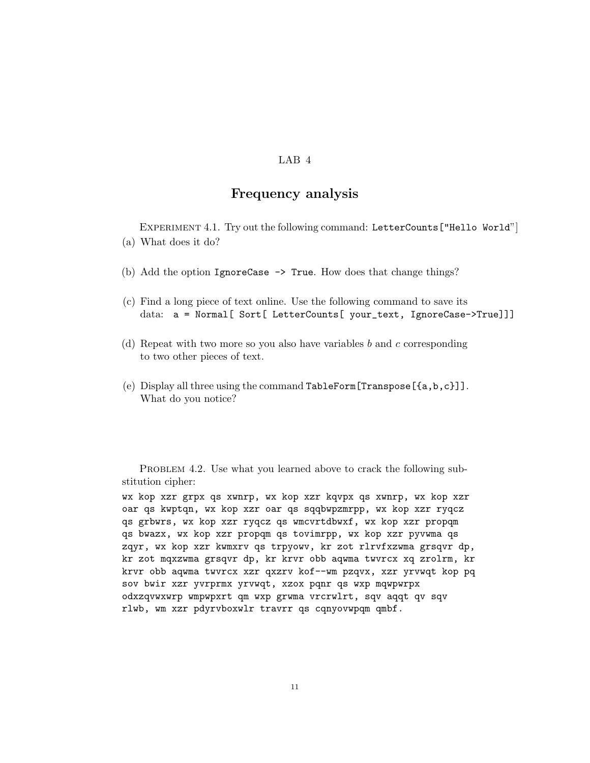## LAB<sub>4</sub>

## Frequency analysis

EXPERIMENT 4.1. Try out the following command: LetterCounts ["Hello World"] (a) What does it do?

- (b) Add the option IgnoreCase -> True. How does that change things?
- (c) Find a long piece of text online. Use the following command to save its data: a = Normal[ Sort[ LetterCounts[ your\_text, IgnoreCase->True]]]
- (d) Repeat with two more so you also have variables *b* and *c* corresponding to two other pieces of text.
- (e) Display all three using the command TableForm[Transpose[{a,b,c}]]. What do you notice?

PROBLEM 4.2. Use what you learned above to crack the following substitution cipher:

wx kop xzr grpx qs xwnrp, wx kop xzr kqvpx qs xwnrp, wx kop xzr oar qs kwptqn, wx kop xzr oar qs sqqbwpzmrpp, wx kop xzr ryqcz qs grbwrs, wx kop xzr ryqcz qs wmcvrtdbwxf, wx kop xzr propqm qs bwazx, wx kop xzr propqm qs tovimrpp, wx kop xzr pyvwma qs zqyr, wx kop xzr kwmxrv qs trpyowv, kr zot rlrvfxzwma grsqvr dp, kr zot mqxzwma grsqvr dp, kr krvr obb aqwma twvrcx xq zrolrm, kr krvr obb aqwma twvrcx xzr qxzrv kof--wm pzqvx, xzr yrvwqt kop pq sov bwir xzr yvrprmx yrvwqt, xzox pqnr qs wxp mqwpwrpx odxzqvwxwrp wmpwpxrt qm wxp grwma vrcrwlrt, sqv aqqt qv sqv rlwb, wm xzr pdyrvboxwlr travrr qs cqnyovwpqm qmbf.